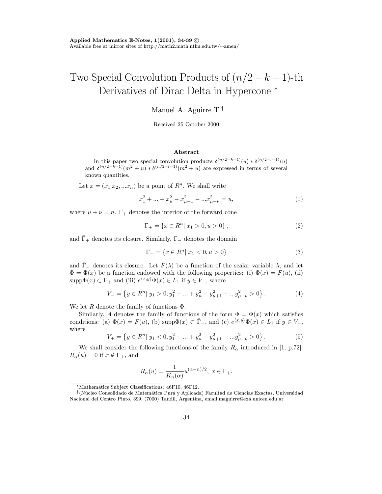## Two Special Convolution Products of  $(n/2 - k - 1)$ -th Derivatives of Dirac Delta in Hypercone<sup>\*</sup>

Manuel A. Aguirre T.<sup>†</sup>

Received 25 October 2000

## Abstract

In this paper two special convolution products  $\delta^{(n/2-k-1)}(u) * \delta^{(n/2-l-1)}(u)$ and  $\delta^{(n/2-k-1)}(m^2+u) * \delta^{(n/2-l-1)}(m^2+u)$  are expressed in terms of several known quantities.

Let  $x = (x_1, x_2, ... x_n)$  be a point of  $R^n$ . We shall write

$$
x_1^2 + \dots + x_\mu^2 - x_{\mu+1}^2 - \dots x_{\mu+\nu}^2 = u,\tag{1}
$$

where  $\mu + \nu = n$ .  $\Gamma_+$  denotes the interior of the forward cone

$$
\Gamma_{+} = \{ x \in R^{n} | x_{1} > 0, u > 0 \},
$$
\n(2)

and  $\Gamma_+$  denotes its closure. Similarly,  $\Gamma_-$  denotes the domain

$$
\Gamma_{-} = \{ x \in R^n | x_1 < 0, u > 0 \} \tag{3}
$$

and  $\Gamma_{-}$  denotes its closure. Let  $F(\lambda)$  be a function of the scalar variable  $\lambda$ , and let  $\Phi = \Phi(x)$  be a function endowed with the following properties: (i)  $\Phi(x) = F(u)$ , (ii)  $\text{supp}\Phi(x) \subset \bar{\Gamma}_+$  and (iii)  $e^{\langle x,y\rangle}\Phi(x) \in L_1$  if  $y \in V_-,$  where

$$
V_{-} = \left\{ y \in R^{n} | y_{1} > 0, y_{1}^{2} + ... + y_{\mu}^{2} - y_{\mu+1}^{2} - ... y_{\mu+\nu}^{2} > 0 \right\}.
$$
 (4)

We let R denote the family of functions  $\Phi$ .

Similarly, A denotes the family of functions of the form  $\Phi = \Phi(x)$  which satisfies conditions: (a)  $\Phi(x) = F(u)$ , (b) supp $\Phi(x) \subset \overline{\Gamma}_-$ , and (c)  $e^{\langle x, y \rangle} \Phi(x) \in L_1$  if  $y \in V_+$ , where

$$
V_{+} = \left\{ y \in R^{n} | y_{1} < 0, y_{1}^{2} + \ldots + y_{\mu}^{2} - y_{\mu+1}^{2} - \ldots y_{\mu+\nu}^{2} > 0 \right\}.
$$
\n<sup>(5)</sup>

We shall consider the following functions of the family  $R_{\alpha}$  introduced in [1, p.72]:  $R_{\alpha}(u) = 0$  if  $x \notin \Gamma_+$ , and

$$
R_{\alpha}(u) = \frac{1}{K_n(\alpha)} u^{(\alpha - n)/2}, \ x \in \Gamma_+.
$$

<sup>\*</sup>Mathematics Subject Classifications: 46F10, 46F12.

 $\textsf{N}$ úcleo Consolidado de Matemática Pura y Aplicada) Facultad de Ciencias Exactas, Universidad Nacional del Centro Pinto, 399, (7000) Tandil, Argentina, email:maguirre@exa.unicen.edu.ar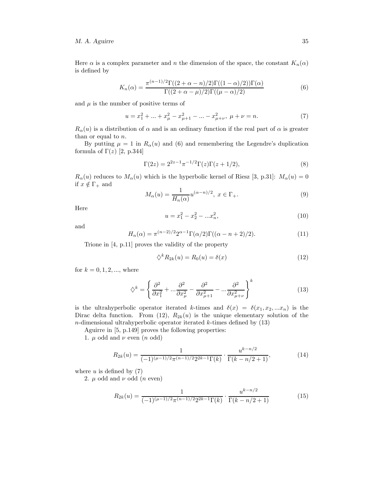## M. A. Aguirre 35

Here  $\alpha$  is a complex parameter and n the dimension of the space, the constant  $K_n(\alpha)$ is defined by

$$
K_n(\alpha) = \frac{\pi^{(n-1)/2} \Gamma((2+\alpha-n)/2) \Gamma((1-\alpha)/2) \Gamma(\alpha)}{\Gamma((2+\alpha-\mu)/2) \Gamma((\mu-\alpha)/2)} \tag{6}
$$

and  $\mu$  is the number of positive terms of

$$
u = x_1^2 + \dots + x_\mu^2 - x_{\mu+1}^2 - \dots - x_{\mu+\nu}^2, \ \mu + \nu = n. \tag{7}
$$

 $R_{\alpha}(u)$  is a distribution of  $\alpha$  and is an ordinary function if the real part of  $\alpha$  is greater than or equal to  $n$ .

By putting  $\mu = 1$  in  $R_{\alpha}(u)$  and (6) and remembering the Legendre's duplication formula of  $\Gamma(z)$  [2, p.344]

$$
\Gamma(2z) = 2^{2z-1}\pi^{-1/2}\Gamma(z)\Gamma(z+1/2),\tag{8}
$$

 $R_{\alpha}(u)$  reduces to  $M_{\alpha}(u)$  which is the hyperbolic kernel of Riesz [3, p.31]:  $M_{\alpha}(u) = 0$ if  $x \notin \Gamma_+$  and

$$
M_{\alpha}(u) = \frac{1}{H_n(\alpha)} u^{(\alpha - n)/2}, \ x \in \Gamma_+.
$$
 (9)

Here

$$
u = x_1^2 - x_2^2 - \dots x_n^2,\tag{10}
$$

and

$$
H_n(\alpha) = \pi^{(n-2)/2} 2^{\alpha - 1} \Gamma(\alpha/2) \Gamma((\alpha - n + 2)/2). \tag{11}
$$

Trione in [4, p.11] proves the validity of the property

$$
\diamondsuit^k R_{2k}(u) = R_0(u) = \delta(x) \tag{12}
$$

for  $k = 0, 1, 2, ...$ , where

$$
\diamondsuit^k = \left\{ \frac{\partial^2}{\partial x_1^2} + \dots \frac{\partial^2}{\partial x_\mu^2} - \frac{\partial^2}{\partial x_{\mu+1}^2} - \dots \frac{\partial^2}{\partial x_{\mu+\nu}^2} \right\}^k
$$
(13)

is the ultrahyperbolic operator iterated k-times and  $\delta(x) = \delta(x_1, x_2, ... x_n)$  is the Dirac delta function. From (12),  $R_{2k}(u)$  is the unique elementary solution of the  $n$ -dimensional ultrahyperbolic operator iterated  $k$ -times defined by  $(13)$ 

Aguirre in [5, p.149] proves the following properties:

1.  $\mu$  odd and  $\nu$  even  $(n \text{ odd})$ 

$$
R_{2k}(u) = \frac{1}{(-1)^{(\mu - 1)/2} \pi^{(n-1)/2} 2^{2k-1} \Gamma(k)} \cdot \frac{u^{k-n/2}}{\Gamma(k-n/2+1)},
$$
(14)

where  $u$  is defined by  $(7)$ 

2.  $\mu$  odd and  $\nu$  odd (*n* even)

$$
R_{2k}(u) = \frac{1}{(-1)^{(\mu-1)/2} \pi^{(n-1)/2} 2^{2k-1} \Gamma(k)} \cdot \frac{u^{k-n/2}}{\Gamma(k-n/2+1)}
$$
(15)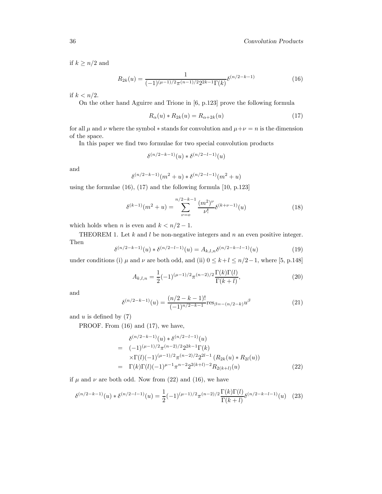if  $k \geq n/2$  and

$$
R_{2k}(u) = \frac{1}{(-1)^{(\mu - 1)/2} \pi^{(n-1)/2} 2^{2k-1} \Gamma(k)} \delta^{(n/2 - k - 1)}
$$
(16)

if  $k < n/2$ .

On the other hand Aguirre and Trione in [6, p.123] prove the following formula

$$
R_{\alpha}(u) * R_{2k}(u) = R_{\alpha+2k}(u)
$$
\n(17)

for all  $\mu$  and  $\nu$  where the symbol  $*$  stands for convolution and  $\mu+\nu=n$  is the dimension of the space.

In this paper we find two formulae for two special convolution products

$$
\delta^{(n/2-k-1)}(u) * \delta^{(n/2-l-1)}(u)
$$

and

$$
\delta^{(n/2-k-1)}(m^2+u) * \delta^{(n/2-l-1)}(m^2+u)
$$

using the formulae (16), (17) and the following formula [10, p.123]

$$
\delta^{(k-1)}(m^2 + u) = \sum_{\nu=0}^{n/2-k-1} \frac{(m^2)^{\nu}}{\nu!} \delta^{(k+\nu-1)}(u)
$$
\n(18)

which holds when *n* is even and  $k < n/2 - 1$ .

THEOREM 1. Let  $k$  and  $l$  be non-negative integers and  $n$  an even positive integer. Then

$$
\delta^{(n/2-k-1)}(u) * \delta^{(n/2-l-1)}(u) = A_{k,l,n} \delta^{(n/2-k-l-1)}(u)
$$
\n(19)

under conditions (i)  $\mu$  and  $\nu$  are both odd, and (ii)  $0 \leq k + l \leq n/2 - 1$ , where [5, p.148]

$$
A_{k,l,n} = \frac{1}{2}(-1)^{(\mu-1)/2} \pi^{(n-2)/2} \frac{\Gamma(k)\Gamma(l)}{\Gamma(k+l)},
$$
\n(20)

and

$$
\delta^{(n/2-k-1)}(u) = \frac{(n/2-k-1)!}{(-1)^{n/2-k-1}} \text{res}_{\beta = -(n/2-k)} u^{\beta}
$$
\n(21)

and  $u$  is defined by  $(7)$ 

PROOF. From  $(16)$  and  $(17)$ , we have,

$$
\delta^{(n/2-k-1)}(u) * \delta^{(n/2-l-1)}(u)
$$
\n
$$
= (-1)^{(\mu-1)/2} \pi^{(n-2)/2} 2^{2k-1} \Gamma(k)
$$
\n
$$
\times \Gamma(l) (-1)^{(\mu-1)/2} \pi^{(n-2)/2} 2^{2l-1} (R_{2k}(u) * R_{2l}(u))
$$
\n
$$
= \Gamma(k) \Gamma(l) (-1)^{\mu-1} \pi^{n-2} 2^{2(k+l)-2} R_{2(k+l)}(u) \tag{22}
$$

if  $\mu$  and  $\nu$  are both odd. Now from (22) and (16), we have

$$
\delta^{(n/2-k-1)}(u) * \delta^{(n/2-l-1)}(u) = \frac{1}{2}(-1)^{(\mu-1)/2}\pi^{(n-2)/2}\frac{\Gamma(k)\Gamma(l)}{\Gamma(k+l)}\delta^{(n/2-k-l-1)}(u) \tag{23}
$$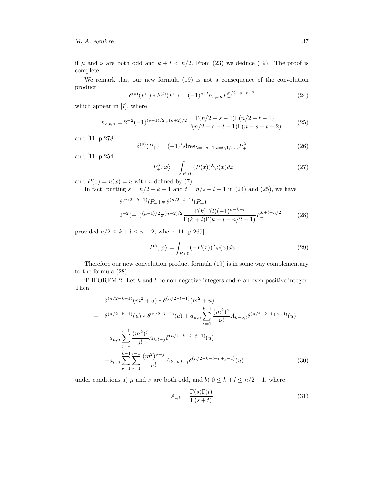if  $\mu$  and  $\nu$  are both odd and  $k + l < n/2$ . From (23) we deduce (19). The proof is complete.

We remark that our new formula (19) is not a consequence of the convolution product

$$
\delta^{(s)}(P_+) * \delta^{(t)}(P_+) = (-1)^{s+t} h_{s,t,n} P_-^{n/2-s-t-2}
$$
\n(24)

which appear in [7], where

$$
h_{s,t,n} = 2^{-2}(-1)^{(\nu-1)/2}\pi^{(n+2)/2}\frac{\Gamma(n/2-s-1)\Gamma(n/2-t-1)}{\Gamma(n/2-s-t-1)\Gamma(n-s-t-2)}
$$
(25)

and [11, p.278]

$$
\delta^{(s)}(P_+) = (-1)^s s! \text{res}_{\lambda = -s-1, s=0, 1, 2, \dots} P_+^{\lambda}
$$
 (26)

and [11, p.254]

$$
P_{+}^{\lambda}, \varphi \rangle = \int_{P>0} (P(x))^{\lambda} \varphi(x) dx \tag{27}
$$

and  $P(x) = u(x) = u$  with u defined by (7).

In fact, putting  $s = n/2 - k - 1$  and  $t = n/2 - l - 1$  in (24) and (25), we have

$$
\delta^{(n/2-k-1)}(P_+) * \delta^{(n/2-l-1)}(P_+)
$$
\n
$$
= 2^{-2}(-1)^{(\mu-1)/2}\pi^{(n-2)/2}\frac{\Gamma(k)\Gamma(l)(-1)^{n-k-l}}{\Gamma(k+l)\Gamma(k+l-n/2+1)}P_-^{k+l-n/2}
$$
\n(28)

provided  $n/2 \le k + l \le n - 2$ , where [11, p.269]

$$
P_{-}^{\lambda}, \varphi \rangle = \int_{P < 0} (-P(x))^{\lambda} \varphi(x) dx. \tag{29}
$$

Therefore our new convolution product formula (19) is in some way complementary to the formula (28).

THEOREM 2. Let  $k$  and  $l$  be non-negative integers and  $n$  an even positive integer. Then

$$
\delta^{(n/2-k-1)}(m^2+u) * \delta^{(n/2-l-1)}(m^2+u)
$$
\n
$$
= \delta^{(n/2-k-1)}(u) * \delta^{(n/2-l-1)}(u) + a_{\mu,n} \sum_{\nu=1}^{k-1} \frac{(m^2)^{\nu}}{\nu!} A_{k-\nu,l} \delta^{(n/2-k-l+\nu-1)}(u)
$$
\n
$$
+ a_{\mu,n} \sum_{j=1}^{l-1} \frac{(m^2)^j}{j!} A_{k,l-j} \delta^{(n/2-k-l+j-1)}(u) + a_{\mu,n} \sum_{\nu=1}^{k-1} \sum_{j=1}^{l-1} \frac{(m^2)^{\nu+j}}{\nu!} A_{k-\nu,l-j} \delta^{(n/2-k-l+\nu+j-1)}(u)
$$
\n(30)

under conditions a)  $\mu$  and  $\nu$  are both odd, and b)  $0 \le k + l \le n/2 - 1$ , where

$$
A_{s,t} = \frac{\Gamma(s)\Gamma(t)}{\Gamma(s+t)}
$$
\n(31)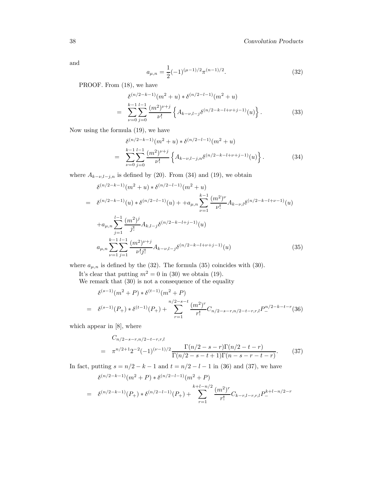and

$$
a_{\mu,n} = \frac{1}{2}(-1)^{(\mu-1)/2}\pi^{(n-1)/2}.
$$
 (32)

PROOF. From  $(18)$ , we have

$$
\delta^{(n/2-k-1)}(m^2+u) * \delta^{(n/2-l-1)}(m^2+u)
$$
\n
$$
= \sum_{\nu=0}^{k-1} \sum_{j=0}^{l-1} \frac{(m^2)^{\nu+j}}{\nu!} \left\{ A_{k-\nu,l-j} \delta^{(n/2-k-l+\nu+j-1)}(u) \right\}.
$$
\n(33)

Now using the formula (19), we have

$$
\delta^{(n/2-k-1)}(m^2+u) * \delta^{(n/2-l-1)}(m^2+u)
$$
\n
$$
= \sum_{\nu=0}^{k-1} \sum_{j=0}^{l-1} \frac{(m^2)^{\nu+j}}{\nu!} \left\{ A_{k-\nu,l-j,n} \delta^{(n/2-k-l+\nu+j-1)}(u) \right\}.
$$
\n(34)

where  $A_{k-\nu,l-j,n}$  is defined by (20). From (34) and (19), we obtain

$$
\delta^{(n/2-k-1)}(m^{2}+u) * \delta^{(n/2-l-1)}(m^{2}+u)
$$
\n
$$
= \delta^{(n/2-k-1)}(u) * \delta^{(n/2-l-1)}(u) + +a_{\mu,n} \sum_{\nu=1}^{k-1} \frac{(m^{2})^{\nu}}{\nu!} A_{k-\nu,l} \delta^{(n/2-k-l+\nu-1)}(u)
$$
\n
$$
+a_{\mu,n} \sum_{j=1}^{l-1} \frac{(m^{2})^{j}}{j!} A_{k,l-j} \delta^{(n/2-k-l+j-1)}(u)
$$
\n
$$
a_{\mu,n} \sum_{\nu=1}^{k-1} \sum_{j=1}^{l-1} \frac{(m^{2})^{\nu+j}}{\nu!j!} A_{k-\nu,l-j} \delta^{(n/2-k-l+\nu+j-1)}(u) \tag{35}
$$

where  $a_{\mu,n}$  is defined by the (32). The formula (35) coincides with (30).

It's clear that putting  $m^2 = 0$  in (30) we obtain (19).

We remark that  $(30)$  is not a consequence of the equality

$$
\delta^{(s-1)}(m^2 + P) * \delta^{(t-1)}(m^2 + P)
$$
\n
$$
= \delta^{(s-1)}(P_+) * \delta^{(t-1)}(P_+) + \sum_{r=1}^{n/2-s-t} \frac{(m^2)^r}{r!} C_{n/2-s-r,n/2-t-r,r,l} P_-^{n/2-k-t-r}(36)
$$

which appear in [8], where

$$
C_{n/2-s-r,n/2-t-r,r,l}
$$
  
=  $\pi^{n/2+1} 2^{-2} (-1)^{(\nu-1)/2} \frac{\Gamma(n/2-s-r)\Gamma(n/2-t-r)}{\Gamma(n/2-s-t+1)\Gamma(n-s-r-t-r)}.$  (37)

In fact, putting  $s = n/2 - k - 1$  and  $t = n/2 - l - 1$  in (36) and (37), we have

$$
\delta^{(n/2-k-1)}(m^2+P) * \delta^{(n/2-l-1)}(m^2+P)
$$
\n
$$
= \delta^{(n/2-k-1)}(P_+) * \delta^{(n/2-l-1)}(P_+) + \sum_{r=1}^{k+l-n/2} \frac{(m^2)^r}{r!} C_{k-r,l-r,r,l} P_-^{k+l-n/2-r}
$$